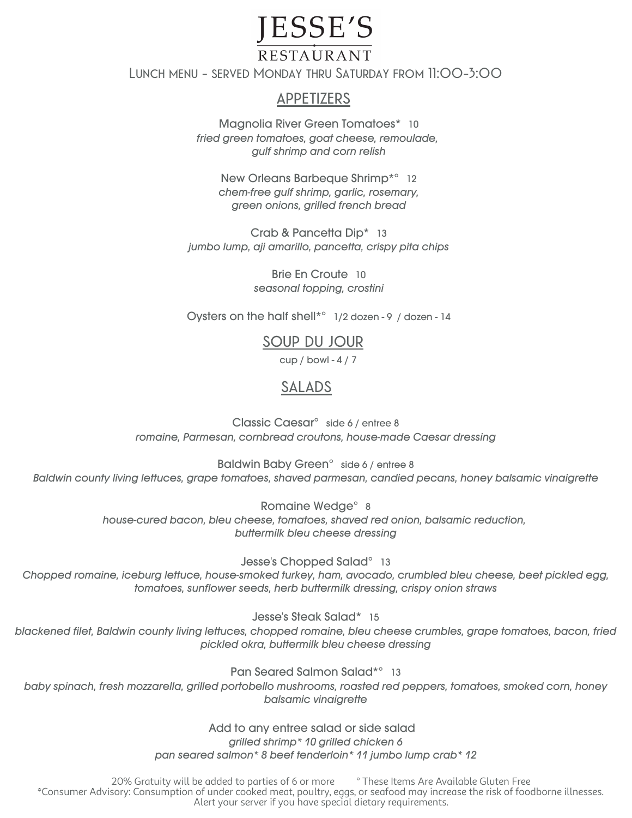## JESSE'S

## RESTAURAN'

**Lunch menu - served Monday thru Saturday from 11:00-3:00**

## **appetizers**

Magnolia River Green Tomatoes\* 10 *fried green tomatoes, goat cheese, remoulade, gulf shrimp and corn relish*

New Orleans Barbeque Shrimp\*° 12 *chem-free gulf shrimp, garlic, rosemary, green onions, grilled french bread*

Crab & Pancetta Dip\* 13 *jumbo lump, aji amarillo, pancetta, crispy pita chips*

> Brie En Croute 10 *seasonal topping, crostini*

Oysters on the half shell\*° 1/2 dozen - 9 / dozen - 14

## **soup du jour**

cup / bowl - 4 / 7

## **salads**

Classic Caesar° side 6 / entree 8 *romaine, Parmesan, cornbread croutons, house-made Caesar dressing*

Baldwin Baby Green° side 6 / entree 8 *Baldwin county living lettuces, grape tomatoes, shaved parmesan, candied pecans, honey balsamic vinaigrette*

> Romaine Wedge° 8 *house-cured bacon, bleu cheese, tomatoes, shaved red onion, balsamic reduction, buttermilk bleu cheese dressing*

> > Jesse's Chopped Salad° 13

*Chopped romaine, iceburg lettuce, house-smoked turkey, ham, avocado, crumbled bleu cheese, beet pickled egg, tomatoes, sunflower seeds, herb buttermilk dressing, crispy onion straws*

Jesse's Steak Salad\* 15

*blackened filet, Baldwin county living lettuces, chopped romaine, bleu cheese crumbles, grape tomatoes, bacon, fried pickled okra, buttermilk bleu cheese dressing*

Pan Seared Salmon Salad\*° 13

*baby spinach, fresh mozzarella, grilled portobello mushrooms, roasted red peppers, tomatoes, smoked corn, honey balsamic vinaigrette*

> Add to any entree salad or side salad *grilled shrimp\* 10 grilled chicken 6 pan seared salmon\* 8 beef tenderloin\* 11 jumbo lump crab\* 12*

20% Gratuity will be added to parties of 6 or more <sup>o</sup> These Items Are Available Gluten Free \*Consumer Advisory: Consumption of under cooked meat, poultry, eggs, or seafood may increase the risk of foodborne illnesses. Alert your server if you have special dietary requirements.